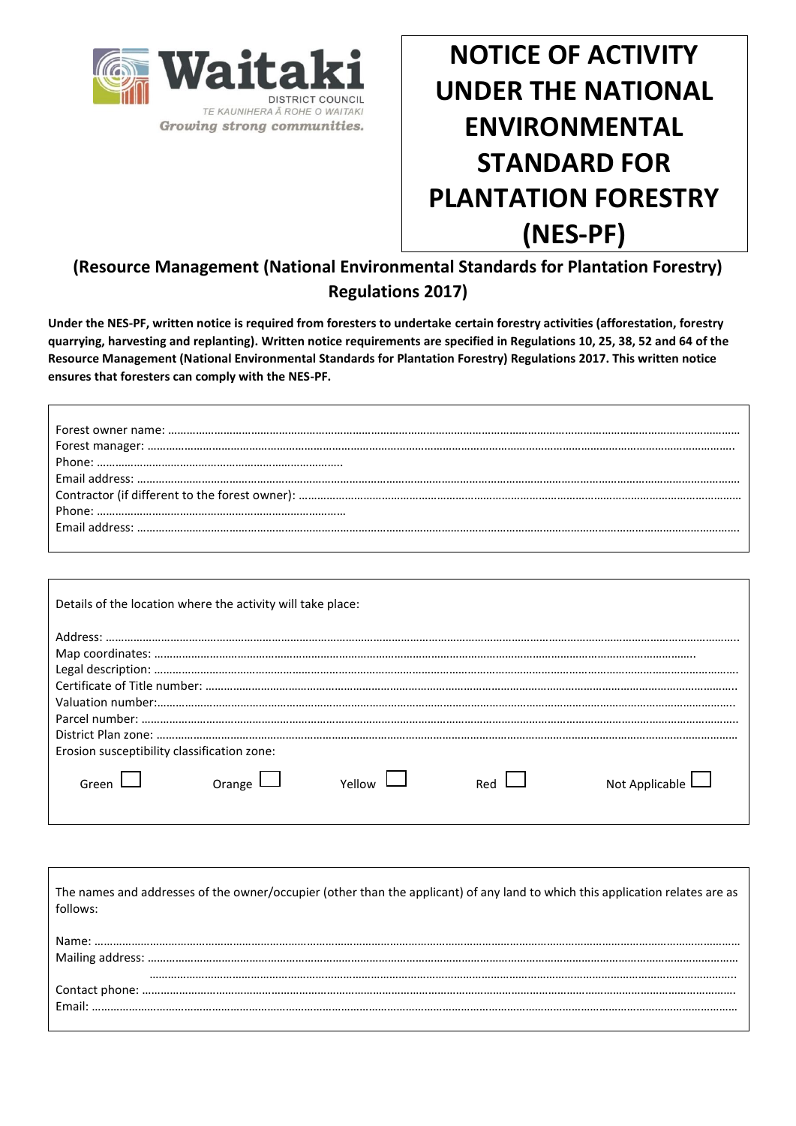

Г

I

Growing strong communities.

**NOTICE OF ACTIVITY UNDER THE NATIONAL ENVIRONMENTAL STANDARD FOR PLANTATION FORESTRY (NES-PF)**

# **(Resource Management (National Environmental Standards for Plantation Forestry) Regulations 2017)**

**Under the NES-PF, written notice is required from foresters to undertake certain forestry activities (afforestation, forestry quarrying, harvesting and replanting). Written notice requirements are specified in Regulations 10, 25, 38, 52 and 64 of the Resource Management (National Environmental Standards for Plantation Forestry) Regulations 2017. This written notice ensures that foresters can comply with the NES-PF.** 

|                                                      | Details of the location where the activity will take place: |     |                  |
|------------------------------------------------------|-------------------------------------------------------------|-----|------------------|
|                                                      |                                                             |     |                  |
| Erosion susceptibility classification zone:<br>Green | Orange                                                      | Rec | Not Applicable L |

| The names and addresses of the owner/occupier (other than the applicant) of any land to which this application relates are as<br>follows: |
|-------------------------------------------------------------------------------------------------------------------------------------------|
|                                                                                                                                           |
|                                                                                                                                           |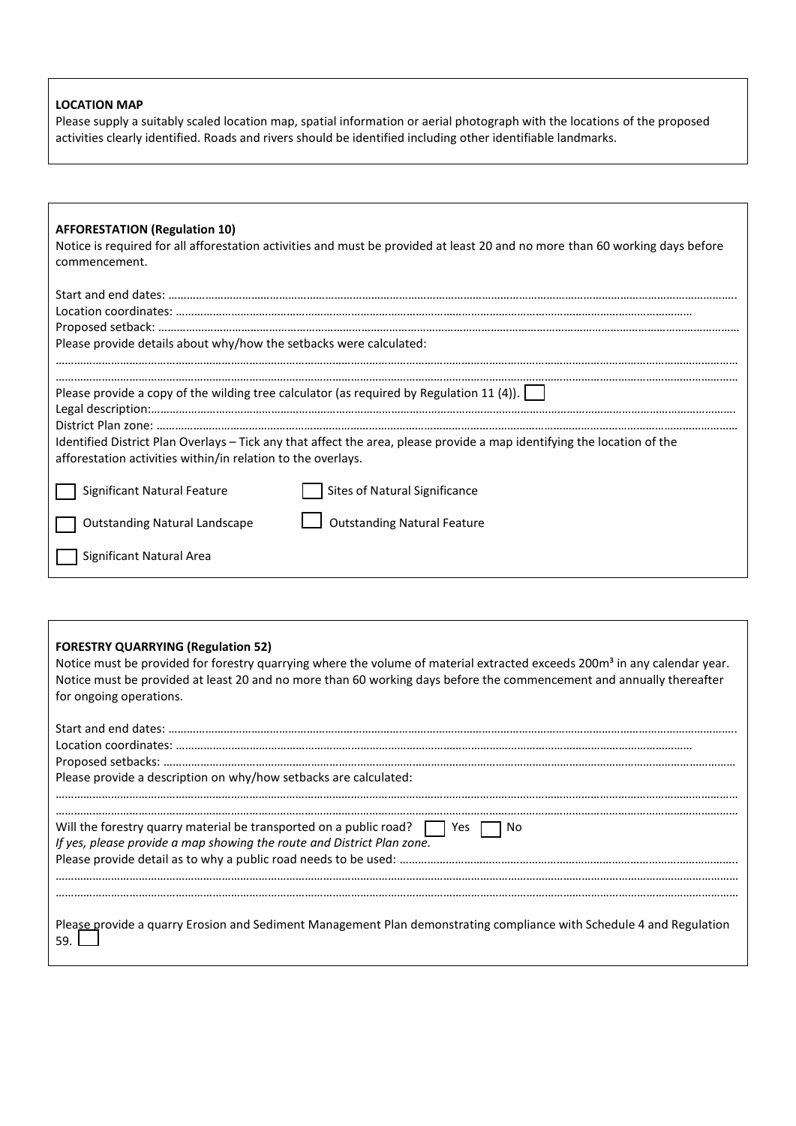#### **LOCATION MAP**

Please supply a suitably scaled location map, spatial information or aerial photograph with the locations of the proposed activities clearly identified. Roads and rivers should be identified including other identifiable landmarks.

#### **AFFORESTATION (Regulation 10)**

Notice is required for all afforestation activities and must be provided at least 20 and no more than 60 working days before commencement.

| Please provide details about why/how the setbacks were calculated: |                                                                                                                                                                                                                     |
|--------------------------------------------------------------------|---------------------------------------------------------------------------------------------------------------------------------------------------------------------------------------------------------------------|
| afforestation activities within/in relation to the overlays.       | Please provide a copy of the wilding tree calculator (as required by Regulation 11 (4)).<br>Identified District Plan Overlays - Tick any that affect the area, please provide a map identifying the location of the |
| Significant Natural Feature                                        | Sites of Natural Significance                                                                                                                                                                                       |
| <b>Outstanding Natural Landscape</b>                               | <b>Outstanding Natural Feature</b>                                                                                                                                                                                  |
| Significant Natural Area                                           |                                                                                                                                                                                                                     |

#### **FORESTRY QUARRYING (Regulation 52)**

Notice must be provided for forestry quarrying where the volume of material extracted exceeds 200m<sup>3</sup> in any calendar year. Notice must be provided at least 20 and no more than 60 working days before the commencement and annually thereafter for ongoing operations.

| Please provide a description on why/how setbacks are calculated:                                                                                                  |
|-------------------------------------------------------------------------------------------------------------------------------------------------------------------|
| Will the forestry quarry material be transported on a public road? $\Box$ Yes $\Box$ No<br>If yes, please provide a map showing the route and District Plan zone. |
| Please provide a quarry Erosion and Sediment Management Plan demonstrating compliance with Schedule 4 and Regulation                                              |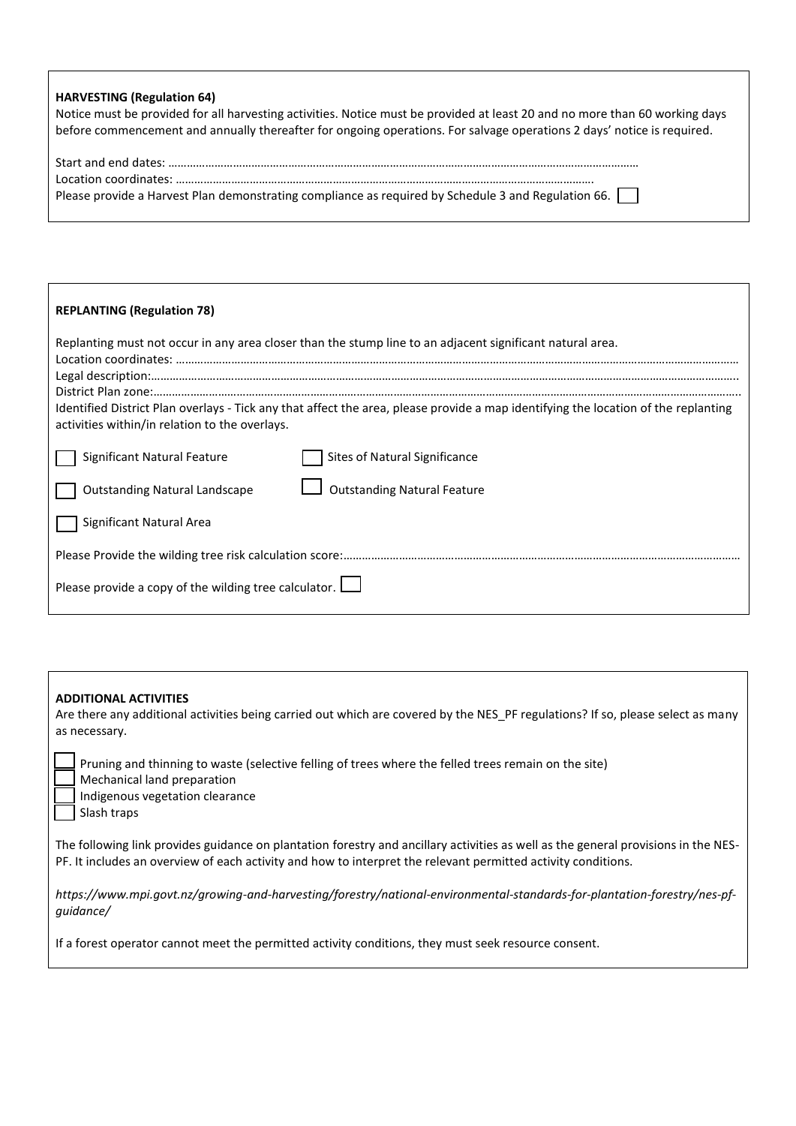## **HARVESTING (Regulation 64)**

| Notice must be provided for all harvesting activities. Notice must be provided at least 20 and no more than 60 working days |
|-----------------------------------------------------------------------------------------------------------------------------|
| before commencement and annually thereafter for ongoing operations. For salvage operations 2 days' notice is required.      |

| Please provide a Harvest Plan demonstrating compliance as required by Schedule 3 and Regulation 66. |
|-----------------------------------------------------------------------------------------------------|

| <b>REPLANTING (Regulation 78)</b>                                                                                                                                                    |
|--------------------------------------------------------------------------------------------------------------------------------------------------------------------------------------|
| Replanting must not occur in any area closer than the stump line to an adjacent significant natural area.                                                                            |
| Identified District Plan overlays - Tick any that affect the area, please provide a map identifying the location of the replanting<br>activities within/in relation to the overlays. |
| Significant Natural Feature<br>Sites of Natural Significance                                                                                                                         |
| <b>Outstanding Natural Feature</b><br><b>Outstanding Natural Landscape</b>                                                                                                           |
| Significant Natural Area                                                                                                                                                             |
|                                                                                                                                                                                      |
| Please provide a copy of the wilding tree calculator. $\Box$                                                                                                                         |

| <b>ADDITIONAL ACTIVITIES</b><br>Are there any additional activities being carried out which are covered by the NES PF regulations? If so, please select as many<br>as necessary.                                                                    |
|-----------------------------------------------------------------------------------------------------------------------------------------------------------------------------------------------------------------------------------------------------|
| Pruning and thinning to waste (selective felling of trees where the felled trees remain on the site)<br>Mechanical land preparation<br>Indigenous vegetation clearance<br>Slash traps                                                               |
| The following link provides guidance on plantation forestry and ancillary activities as well as the general provisions in the NES-<br>PF. It includes an overview of each activity and how to interpret the relevant permitted activity conditions. |
| https://www.mpi.govt.nz/growing-and-harvesting/forestry/national-environmental-standards-for-plantation-forestry/nes-pf-<br>quidance/                                                                                                               |
| If a forest operator cannot meet the permitted activity conditions, they must seek resource consent.                                                                                                                                                |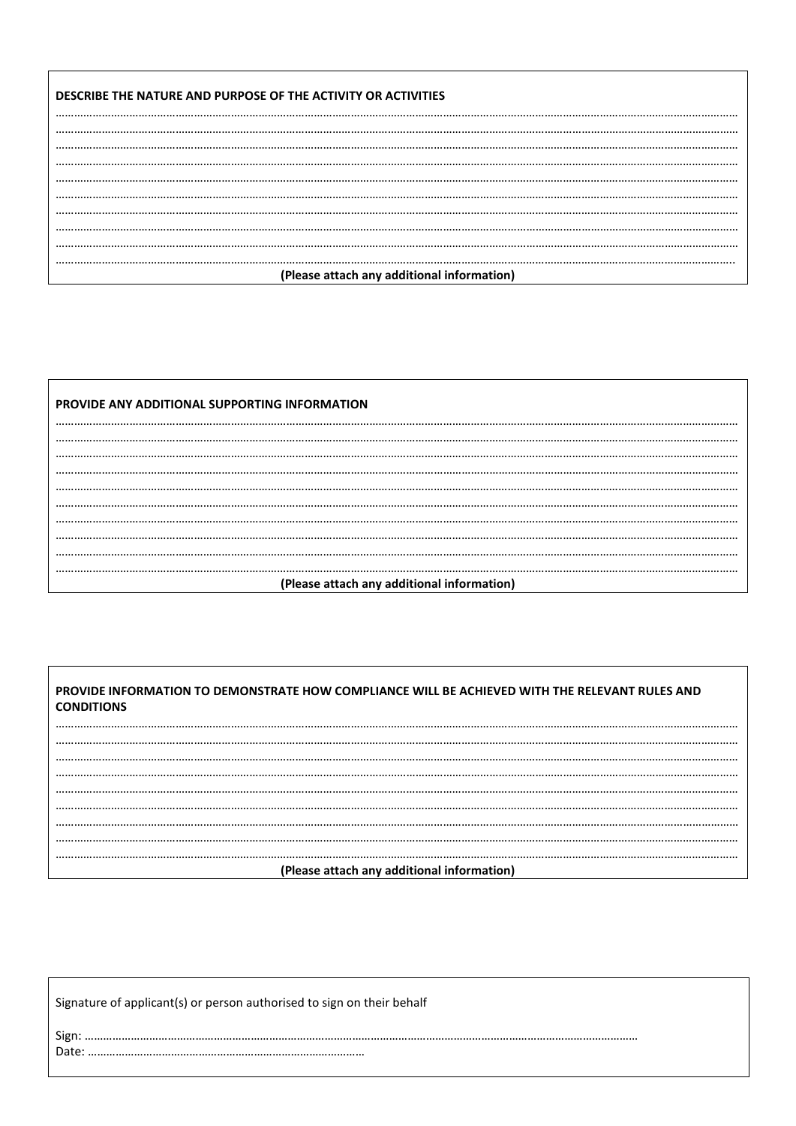| DESCRIBE THE NATURE AND PURPOSE OF THE ACTIVITY OR ACTIVITIES |
|---------------------------------------------------------------|
|                                                               |
|                                                               |
|                                                               |
|                                                               |
|                                                               |
|                                                               |
|                                                               |
|                                                               |
| (Please attach any additional information)                    |

| PROVIDE ANY ADDITIONAL SUPPORTING INFORMATION |
|-----------------------------------------------|
|                                               |
|                                               |
|                                               |
|                                               |
|                                               |
|                                               |
|                                               |
|                                               |
|                                               |
|                                               |
| (Please attach any additional information)    |

PROVIDE INFORMATION TO DEMONSTRATE HOW COMPLIANCE WILL BE ACHIEVED WITH THE RELEVANT RULES AND **CONDITIONS** 

...........................  $\dddotsc$ . . . . ... .... (Please attach any additional information)

Signature of applicant(s) or person authorised to sign on their behalf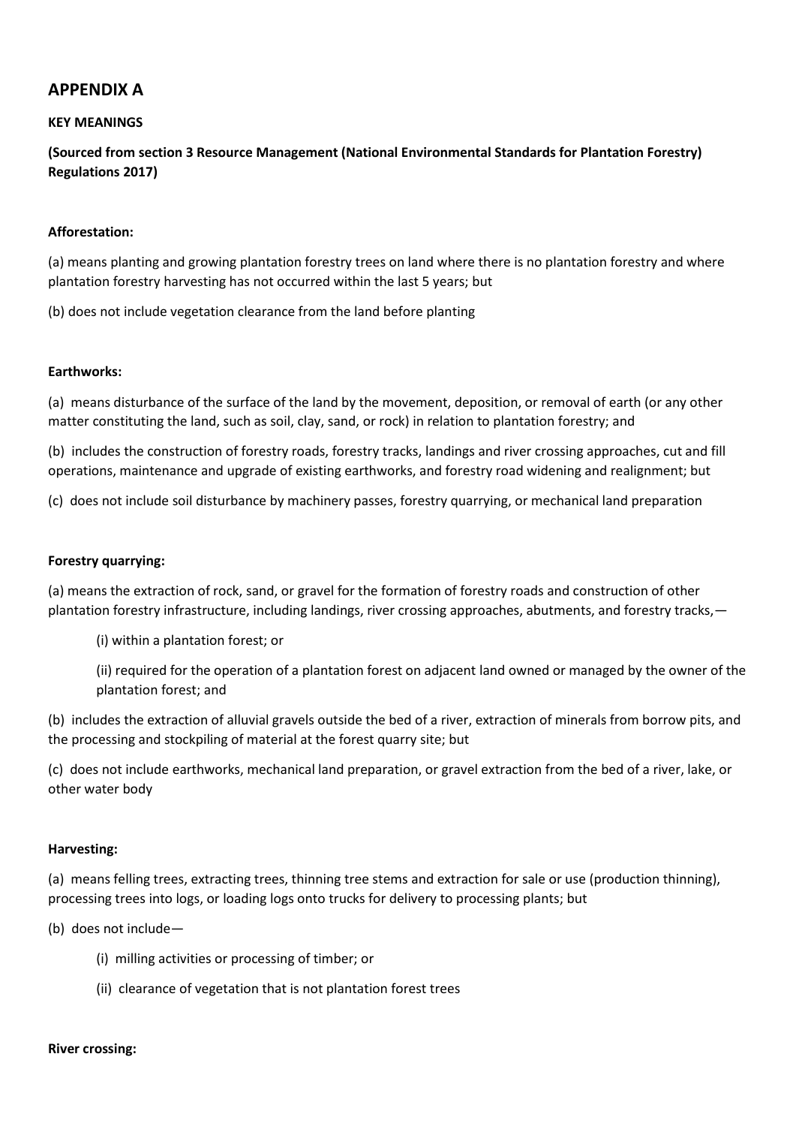## **APPENDIX A**

## **KEY MEANINGS**

**(Sourced from section 3 Resource Management (National Environmental Standards for Plantation Forestry) Regulations 2017)**

## **Afforestation:**

(a) means planting and growing plantation forestry trees on land where there is no plantation forestry and where plantation forestry harvesting has not occurred within the last 5 years; but

(b) does not include vegetation clearance from the land before planting

### **Earthworks:**

(a) means disturbance of the surface of the land by the movement, deposition, or removal of earth (or any other matter constituting the land, such as soil, clay, sand, or rock) in relation to plantation forestry; and

(b) includes the construction of forestry roads, forestry tracks, landings and river crossing approaches, cut and fill operations, maintenance and upgrade of existing earthworks, and forestry road widening and realignment; but

(c) does not include soil disturbance by machinery passes, forestry quarrying, or mechanical land preparation

### **Forestry quarrying:**

(a) means the extraction of rock, sand, or gravel for the formation of forestry roads and construction of other plantation forestry infrastructure, including landings, river crossing approaches, abutments, and forestry tracks,—

(i) within a plantation forest; or

(ii) required for the operation of a plantation forest on adjacent land owned or managed by the owner of the plantation forest; and

(b) includes the extraction of alluvial gravels outside the bed of a river, extraction of minerals from borrow pits, and the processing and stockpiling of material at the forest quarry site; but

(c) does not include earthworks, mechanical land preparation, or gravel extraction from the bed of a river, lake, or other water body

#### **Harvesting:**

(a) means felling trees, extracting trees, thinning tree stems and extraction for sale or use (production thinning), processing trees into logs, or loading logs onto trucks for delivery to processing plants; but

(b) does not include—

- (i) milling activities or processing of timber; or
- (ii) clearance of vegetation that is not plantation forest trees